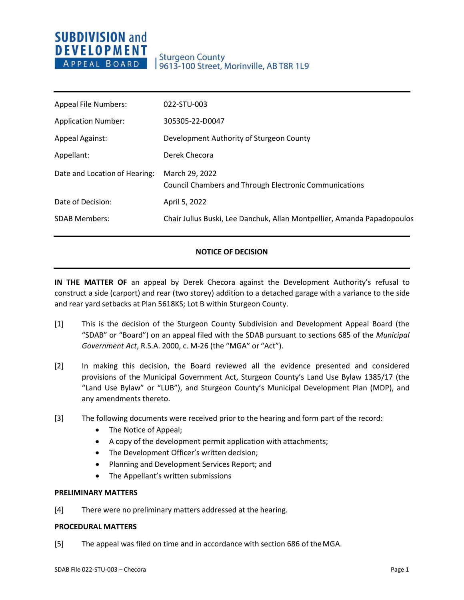# **SUBDIVISION and DEVELOPMENT** APPEAL BOARD

| <b>Appeal File Numbers:</b>   | 022-STU-003                                                                     |
|-------------------------------|---------------------------------------------------------------------------------|
| <b>Application Number:</b>    | 305305-22-D0047                                                                 |
| <b>Appeal Against:</b>        | Development Authority of Sturgeon County                                        |
| Appellant:                    | Derek Checora                                                                   |
| Date and Location of Hearing: | March 29, 2022<br><b>Council Chambers and Through Electronic Communications</b> |
| Date of Decision:             | April 5, 2022                                                                   |
| <b>SDAB Members:</b>          | Chair Julius Buski, Lee Danchuk, Allan Montpellier, Amanda Papadopoulos         |
|                               |                                                                                 |

### **NOTICE OF DECISION**

**IN THE MATTER OF** an appeal by Derek Checora against the Development Authority's refusal to construct a side (carport) and rear (two storey) addition to a detached garage with a variance to the side and rear yard setbacks at Plan 5618KS; Lot B within Sturgeon County.

- [1] This is the decision of the Sturgeon County Subdivision and Development Appeal Board (the "SDAB" or "Board") on an appeal filed with the SDAB pursuant to sections 685 of the *Municipal Government Act*, R.S.A. 2000, c. M-26 (the "MGA" or "Act").
- [2] In making this decision, the Board reviewed all the evidence presented and considered provisions of the Municipal Government Act, Sturgeon County's Land Use Bylaw 1385/17 (the "Land Use Bylaw" or "LUB"), and Sturgeon County's Municipal Development Plan (MDP), and any amendments thereto.
- [3] The following documents were received prior to the hearing and form part of the record:
	- The Notice of Appeal;
	- A copy of the development permit application with attachments;
	- The Development Officer's written decision;
	- Planning and Development Services Report; and
	- The Appellant's written submissions

#### **PRELIMINARY MATTERS**

[4] There were no preliminary matters addressed at the hearing.

### **PROCEDURAL MATTERS**

[5] The appeal was filed on time and in accordance with section 686 of theMGA.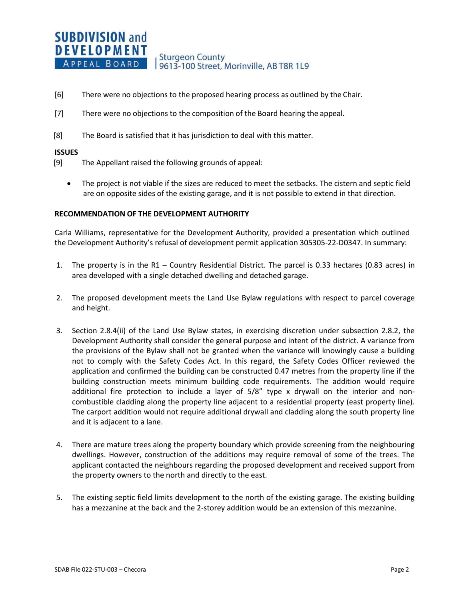- [6] There were no objections to the proposed hearing process as outlined by the Chair.
- [7] There were no objections to the composition of the Board hearing the appeal.
- [8] The Board is satisfied that it has jurisdiction to deal with this matter.

#### **ISSUES**

- [9] The Appellant raised the following grounds of appeal:
	- The project is not viable if the sizes are reduced to meet the setbacks. The cistern and septic field are on opposite sides of the existing garage, and it is not possible to extend in that direction.

#### **RECOMMENDATION OF THE DEVELOPMENT AUTHORITY**

Carla Williams, representative for the Development Authority, provided a presentation which outlined the Development Authority's refusal of development permit application 305305-22-D0347. In summary:

- 1. The property is in the R1 Country Residential District. The parcel is 0.33 hectares (0.83 acres) in area developed with a single detached dwelling and detached garage.
- 2. The proposed development meets the Land Use Bylaw regulations with respect to parcel coverage and height.
- 3. Section 2.8.4(ii) of the Land Use Bylaw states, in exercising discretion under subsection 2.8.2, the Development Authority shall consider the general purpose and intent of the district. A variance from the provisions of the Bylaw shall not be granted when the variance will knowingly cause a building not to comply with the Safety Codes Act. In this regard, the Safety Codes Officer reviewed the application and confirmed the building can be constructed 0.47 metres from the property line if the building construction meets minimum building code requirements. The addition would require additional fire protection to include a layer of 5/8" type x drywall on the interior and noncombustible cladding along the property line adjacent to a residential property (east property line). The carport addition would not require additional drywall and cladding along the south property line and it is adjacent to a lane.
- 4. There are mature trees along the property boundary which provide screening from the neighbouring dwellings. However, construction of the additions may require removal of some of the trees. The applicant contacted the neighbours regarding the proposed development and received support from the property owners to the north and directly to the east.
- 5. The existing septic field limits development to the north of the existing garage. The existing building has a mezzanine at the back and the 2-storey addition would be an extension of this mezzanine.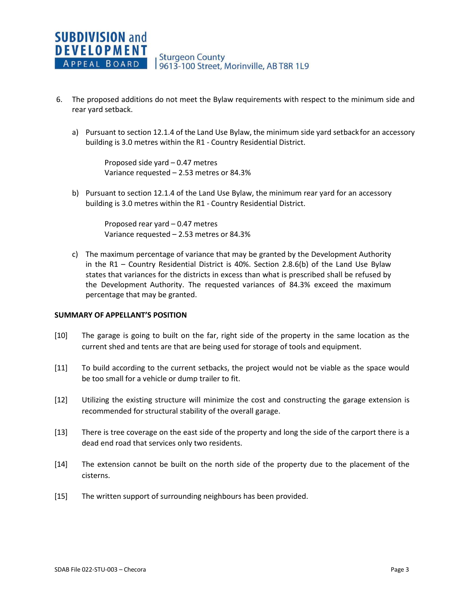- 6. The proposed additions do not meet the Bylaw requirements with respect to the minimum side and rear yard setback.
	- a) Pursuant to section 12.1.4 of the Land Use Bylaw, the minimum side yard setback for an accessory building is 3.0 metres within the R1 - Country Residential District.

Proposed side yard – 0.47 metres Variance requested – 2.53 metres or 84.3%

b) Pursuant to section 12.1.4 of the Land Use Bylaw, the minimum rear yard for an accessory building is 3.0 metres within the R1 - Country Residential District.

> Proposed rear yard – 0.47 metres Variance requested – 2.53 metres or 84.3%

c) The maximum percentage of variance that may be granted by the Development Authority in the R1 – Country Residential District is 40%. Section 2.8.6(b) of the Land Use Bylaw states that variances for the districts in excess than what is prescribed shall be refused by the Development Authority. The requested variances of 84.3% exceed the maximum percentage that may be granted.

#### **SUMMARY OF APPELLANT'S POSITION**

- [10] The garage is going to built on the far, right side of the property in the same location as the current shed and tents are that are being used for storage of tools and equipment.
- [11] To build according to the current setbacks, the project would not be viable as the space would be too small for a vehicle or dump trailer to fit.
- [12] Utilizing the existing structure will minimize the cost and constructing the garage extension is recommended for structural stability of the overall garage.
- [13] There is tree coverage on the east side of the property and long the side of the carport there is a dead end road that services only two residents.
- [14] The extension cannot be built on the north side of the property due to the placement of the cisterns.
- [15] The written support of surrounding neighbours has been provided.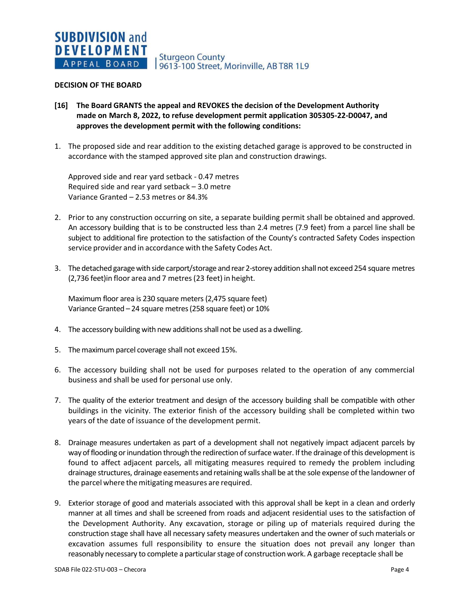Sturgeon County<br>| 9613-100 Street, Morinville, AB T8R 1L9

#### **DECISION OF THE BOARD**

- **[16] The Board GRANTS the appeal and REVOKES the decision of the Development Authority made on March 8, 2022, to refuse development permit application 305305-22-D0047, and approves the development permit with the following conditions:**
- 1. The proposed side and rear addition to the existing detached garage is approved to be constructed in accordance with the stamped approved site plan and construction drawings.

Approved side and rear yard setback - 0.47 metres Required side and rear yard setback – 3.0 metre Variance Granted – 2.53 metres or 84.3%

- 2. Prior to any construction occurring on site, a separate building permit shall be obtained and approved. An accessory building that is to be constructed less than 2.4 metres (7.9 feet) from a parcel line shall be subject to additional fire protection to the satisfaction of the County's contracted Safety Codes inspection service provider and in accordance with the Safety Codes Act.
- 3. The detached garage with side carport/storage and rear 2-storey addition shall not exceed 254 square metres (2,736 feet)in floor area and 7 metres(23 feet) in height.

Maximum floor area is 230 square meters(2,475 square feet) Variance Granted – 24 square metres (258 square feet) or 10%

- 4. The accessory building with new additions shall not be used as a dwelling.
- 5. The maximum parcel coverage shall not exceed 15%.
- 6. The accessory building shall not be used for purposes related to the operation of any commercial business and shall be used for personal use only.
- 7. The quality of the exterior treatment and design of the accessory building shall be compatible with other buildings in the vicinity. The exterior finish of the accessory building shall be completed within two years of the date of issuance of the development permit.
- 8. Drainage measures undertaken as part of a development shall not negatively impact adjacent parcels by way of flooding or inundation through the redirection of surface water. If the drainage of this development is found to affect adjacent parcels, all mitigating measures required to remedy the problem including drainage structures, drainage easements and retaining walls shall be at the sole expense of the landowner of the parcel where the mitigating measures are required.
- 9. Exterior storage of good and materials associated with this approval shall be kept in a clean and orderly manner at all times and shall be screened from roads and adjacent residential uses to the satisfaction of the Development Authority. Any excavation, storage or piling up of materials required during the construction stage shall have all necessary safety measures undertaken and the owner of such materials or excavation assumes full responsibility to ensure the situation does not prevail any longer than reasonably necessary to complete a particular stage of construction work. A garbage receptacle shall be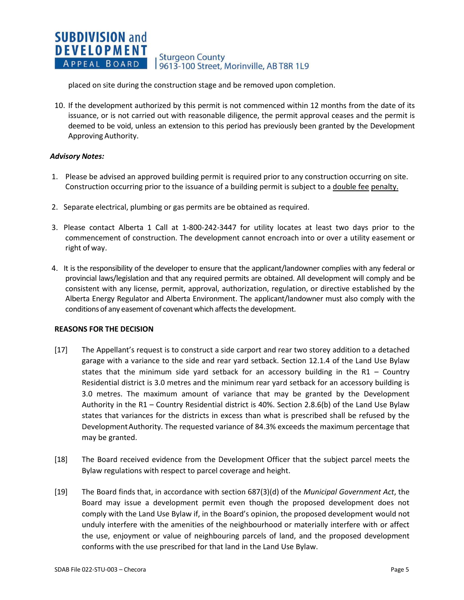#### **SUBDIVISION and DEVELOPMENT Sturgeon County** APPEAL BOARD 9613-100 Street, Morinville, AB T8R 1L9

placed on site during the construction stage and be removed upon completion.

10. If the development authorized by this permit is not commenced within 12 months from the date of its issuance, or is not carried out with reasonable diligence, the permit approval ceases and the permit is deemed to be void, unless an extension to this period has previously been granted by the Development Approving Authority.

## *Advisory Notes:*

- 1. Please be advised an approved building permit is required prior to any construction occurring on site. Construction occurring prior to the issuance of a building permit is subject to a double fee penalty.
- 2. Separate electrical, plumbing or gas permits are be obtained as required.
- 3. Please contact Alberta 1 Call at 1-800-242-3447 for utility locates at least two days prior to the commencement of construction. The development cannot encroach into or over a utility easement or right of way.
- 4. It is the responsibility of the developer to ensure that the applicant/landowner complies with any federal or provincial laws/legislation and that any required permits are obtained. All development will comply and be consistent with any license, permit, approval, authorization, regulation, or directive established by the Alberta Energy Regulator and Alberta Environment. The applicant/landowner must also comply with the conditions of any easement of covenant which affects the development.

## **REASONS FOR THE DECISION**

- [17] The Appellant's request is to construct a side carport and rear two storey addition to a detached garage with a variance to the side and rear yard setback. Section 12.1.4 of the Land Use Bylaw states that the minimum side yard setback for an accessory building in the R1 – Country Residential district is 3.0 metres and the minimum rear yard setback for an accessory building is 3.0 metres. The maximum amount of variance that may be granted by the Development Authority in the R1 – Country Residential district is 40%. Section 2.8.6(b) of the Land Use Bylaw states that variances for the districts in excess than what is prescribed shall be refused by the DevelopmentAuthority. The requested variance of 84.3% exceeds the maximum percentage that may be granted.
- [18] The Board received evidence from the Development Officer that the subject parcel meets the Bylaw regulations with respect to parcel coverage and height.
- [19] The Board finds that, in accordance with section 687(3)(d) of the *Municipal Government Act*, the Board may issue a development permit even though the proposed development does not comply with the Land Use Bylaw if, in the Board's opinion, the proposed development would not unduly interfere with the amenities of the neighbourhood or materially interfere with or affect the use, enjoyment or value of neighbouring parcels of land, and the proposed development conforms with the use prescribed for that land in the Land Use Bylaw.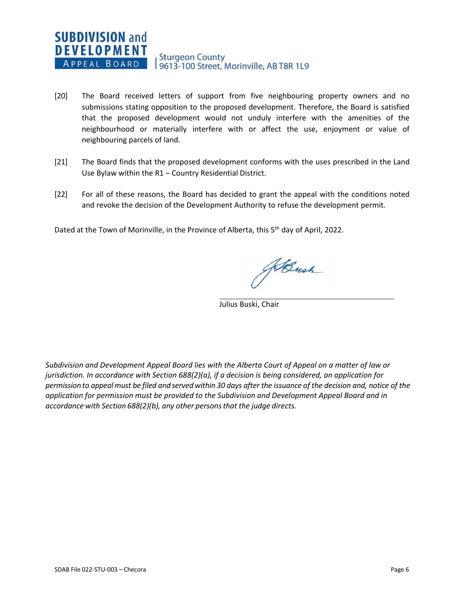- [20] The Board received letters of support from five neighbouring property owners and no submissions stating opposition to the proposed development. Therefore, the Board is satisfied that the proposed development would not unduly interfere with the amenities of the neighbourhood or materially interfere with or affect the use, enjoyment or value of neighbouring parcels of land.
- [21] The Board finds that the proposed development conforms with the uses prescribed in the Land Use Bylaw within the R1 – Country Residential District.
- [22] For all of these reasons, the Board has decided to grant the appeal with the conditions noted and revoke the decision of the Development Authority to refuse the development permit.

Dated at the Town of Morinville, in the Province of Alberta, this 5<sup>th</sup> day of April, 2022.

HBush

Julius Buski, Chair

*Subdivision and Development Appeal Board lies with the Alberta Court of Appeal on a matter of law or jurisdiction. In accordance with Section 688(2)(a), if a decision is being considered, an application for* permission to appeal must be filed and served within 30 days after the issuance of the decision and, notice of the *application for permission must be provided to the Subdivision and Development Appeal Board and in accordance with Section 688(2)(b), any other personsthat the judge directs.*